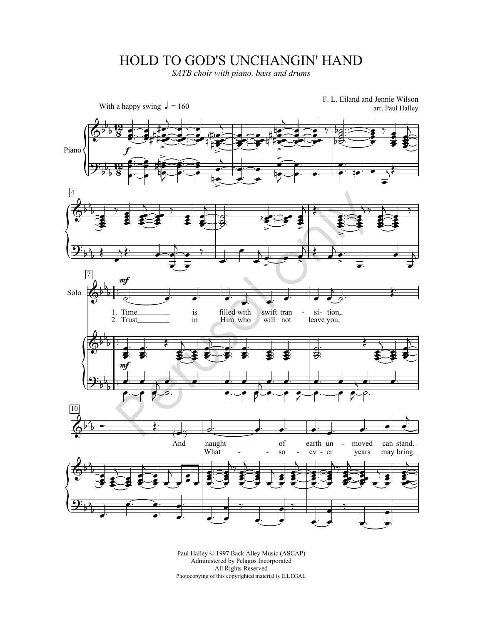## HOLD TO GOD'S UNCHANGIN' HAND

*SATB choir with piano, bass and drums*



Paul Halley © 1997 Back Alley Music (ASCAP) Administered by Pelagos Incorporated All Rights Reserved Photocopying of this copyrighted material is ILLEGAL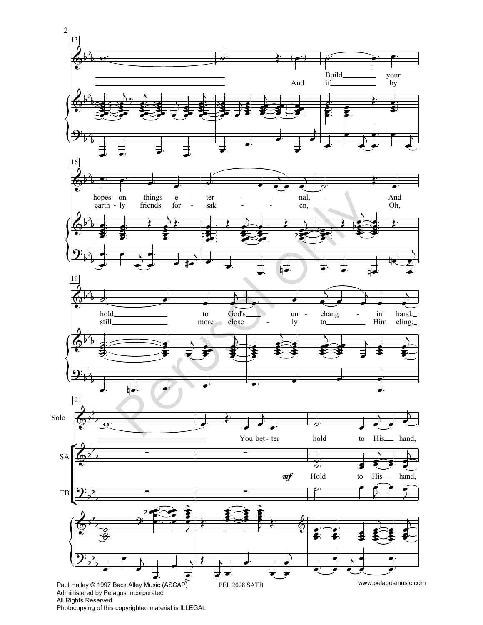

Photocopying of this copyrighted material is ILLEGAL